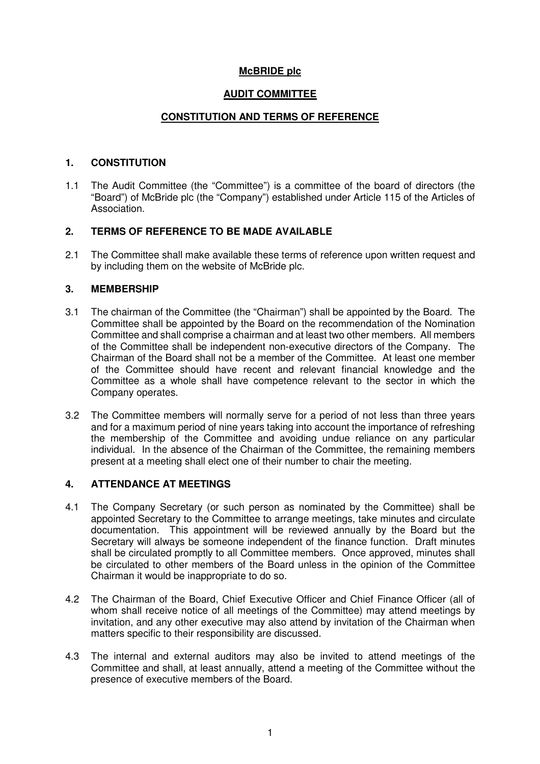# **McBRIDE plc**

# **AUDIT COMMITTEE**

# **CONSTITUTION AND TERMS OF REFERENCE**

### **1. CONSTITUTION**

1.1 The Audit Committee (the "Committee") is a committee of the board of directors (the "Board") of McBride plc (the "Company") established under Article 115 of the Articles of Association.

### **2. TERMS OF REFERENCE TO BE MADE AVAILABLE**

2.1 The Committee shall make available these terms of reference upon written request and by including them on the website of McBride plc.

### **3. MEMBERSHIP**

- 3.1 The chairman of the Committee (the "Chairman") shall be appointed by the Board. The Committee shall be appointed by the Board on the recommendation of the Nomination Committee and shall comprise a chairman and at least two other members. All members of the Committee shall be independent non-executive directors of the Company. The Chairman of the Board shall not be a member of the Committee. At least one member of the Committee should have recent and relevant financial knowledge and the Committee as a whole shall have competence relevant to the sector in which the Company operates.
- 3.2 The Committee members will normally serve for a period of not less than three years and for a maximum period of nine years taking into account the importance of refreshing the membership of the Committee and avoiding undue reliance on any particular individual. In the absence of the Chairman of the Committee, the remaining members present at a meeting shall elect one of their number to chair the meeting.

### **4. ATTENDANCE AT MEETINGS**

- 4.1 The Company Secretary (or such person as nominated by the Committee) shall be appointed Secretary to the Committee to arrange meetings, take minutes and circulate documentation. This appointment will be reviewed annually by the Board but the Secretary will always be someone independent of the finance function. Draft minutes shall be circulated promptly to all Committee members. Once approved, minutes shall be circulated to other members of the Board unless in the opinion of the Committee Chairman it would be inappropriate to do so.
- 4.2 The Chairman of the Board, Chief Executive Officer and Chief Finance Officer (all of whom shall receive notice of all meetings of the Committee) may attend meetings by invitation, and any other executive may also attend by invitation of the Chairman when matters specific to their responsibility are discussed.
- 4.3 The internal and external auditors may also be invited to attend meetings of the Committee and shall, at least annually, attend a meeting of the Committee without the presence of executive members of the Board.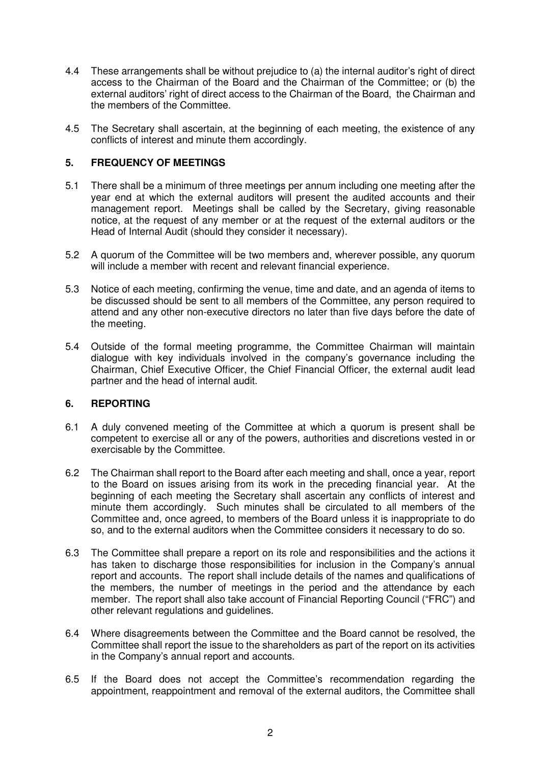- 4.4 These arrangements shall be without prejudice to (a) the internal auditor's right of direct access to the Chairman of the Board and the Chairman of the Committee; or (b) the external auditors' right of direct access to the Chairman of the Board, the Chairman and the members of the Committee.
- 4.5 The Secretary shall ascertain, at the beginning of each meeting, the existence of any conflicts of interest and minute them accordingly.

# **5. FREQUENCY OF MEETINGS**

- 5.1 There shall be a minimum of three meetings per annum including one meeting after the year end at which the external auditors will present the audited accounts and their management report. Meetings shall be called by the Secretary, giving reasonable notice, at the request of any member or at the request of the external auditors or the Head of Internal Audit (should they consider it necessary).
- 5.2 A quorum of the Committee will be two members and, wherever possible, any quorum will include a member with recent and relevant financial experience.
- 5.3 Notice of each meeting, confirming the venue, time and date, and an agenda of items to be discussed should be sent to all members of the Committee, any person required to attend and any other non-executive directors no later than five days before the date of the meeting.
- 5.4 Outside of the formal meeting programme, the Committee Chairman will maintain dialogue with key individuals involved in the company's governance including the Chairman, Chief Executive Officer, the Chief Financial Officer, the external audit lead partner and the head of internal audit.

### **6. REPORTING**

- 6.1 A duly convened meeting of the Committee at which a quorum is present shall be competent to exercise all or any of the powers, authorities and discretions vested in or exercisable by the Committee.
- 6.2 The Chairman shall report to the Board after each meeting and shall, once a year, report to the Board on issues arising from its work in the preceding financial year. At the beginning of each meeting the Secretary shall ascertain any conflicts of interest and minute them accordingly. Such minutes shall be circulated to all members of the Committee and, once agreed, to members of the Board unless it is inappropriate to do so, and to the external auditors when the Committee considers it necessary to do so.
- 6.3 The Committee shall prepare a report on its role and responsibilities and the actions it has taken to discharge those responsibilities for inclusion in the Company's annual report and accounts. The report shall include details of the names and qualifications of the members, the number of meetings in the period and the attendance by each member. The report shall also take account of Financial Reporting Council ("FRC") and other relevant regulations and guidelines.
- 6.4 Where disagreements between the Committee and the Board cannot be resolved, the Committee shall report the issue to the shareholders as part of the report on its activities in the Company's annual report and accounts.
- 6.5 If the Board does not accept the Committee's recommendation regarding the appointment, reappointment and removal of the external auditors, the Committee shall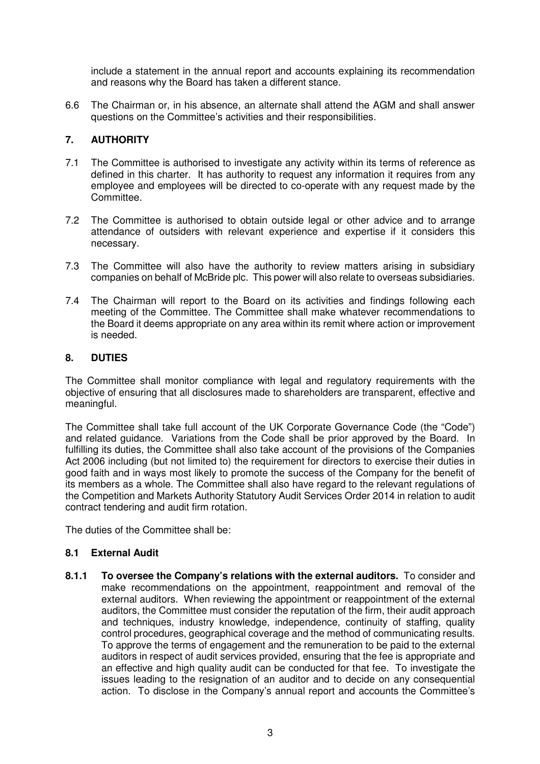include a statement in the annual report and accounts explaining its recommendation and reasons why the Board has taken a different stance.

6.6 The Chairman or, in his absence, an alternate shall attend the AGM and shall answer questions on the Committee's activities and their responsibilities.

# **7. AUTHORITY**

- 7.1 The Committee is authorised to investigate any activity within its terms of reference as defined in this charter. It has authority to request any information it requires from any employee and employees will be directed to co-operate with any request made by the Committee.
- 7.2 The Committee is authorised to obtain outside legal or other advice and to arrange attendance of outsiders with relevant experience and expertise if it considers this necessary.
- 7.3 The Committee will also have the authority to review matters arising in subsidiary companies on behalf of McBride plc. This power will also relate to overseas subsidiaries.
- 7.4 The Chairman will report to the Board on its activities and findings following each meeting of the Committee. The Committee shall make whatever recommendations to the Board it deems appropriate on any area within its remit where action or improvement is needed.

### **8. DUTIES**

The Committee shall monitor compliance with legal and regulatory requirements with the objective of ensuring that all disclosures made to shareholders are transparent, effective and meaningful.

The Committee shall take full account of the UK Corporate Governance Code (the "Code") and related guidance. Variations from the Code shall be prior approved by the Board. In fulfilling its duties, the Committee shall also take account of the provisions of the Companies Act 2006 including (but not limited to) the requirement for directors to exercise their duties in good faith and in ways most likely to promote the success of the Company for the benefit of its members as a whole. The Committee shall also have regard to the relevant regulations of the Competition and Markets Authority Statutory Audit Services Order 2014 in relation to audit contract tendering and audit firm rotation.

The duties of the Committee shall be:

### **8.1 External Audit**

**8.1.1 To oversee the Company's relations with the external auditors.** To consider and make recommendations on the appointment, reappointment and removal of the external auditors. When reviewing the appointment or reappointment of the external auditors, the Committee must consider the reputation of the firm, their audit approach and techniques, industry knowledge, independence, continuity of staffing, quality control procedures, geographical coverage and the method of communicating results. To approve the terms of engagement and the remuneration to be paid to the external auditors in respect of audit services provided, ensuring that the fee is appropriate and an effective and high quality audit can be conducted for that fee. To investigate the issues leading to the resignation of an auditor and to decide on any consequential action. To disclose in the Company's annual report and accounts the Committee's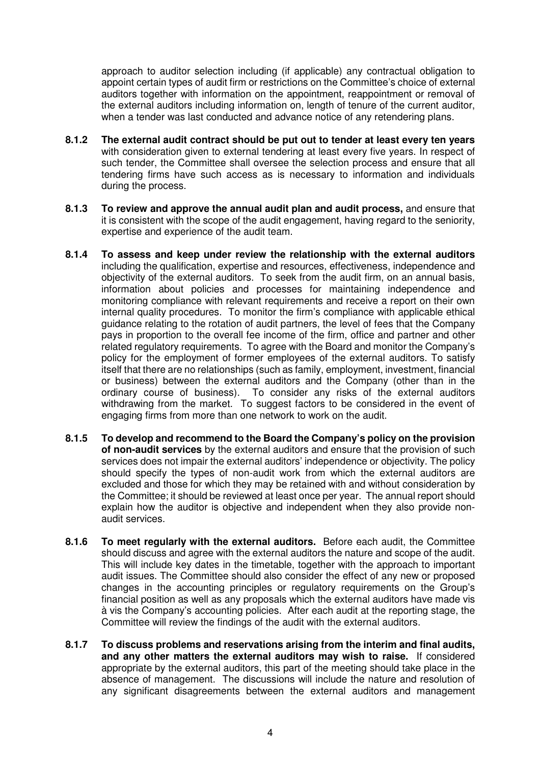approach to auditor selection including (if applicable) any contractual obligation to appoint certain types of audit firm or restrictions on the Committee's choice of external auditors together with information on the appointment, reappointment or removal of the external auditors including information on, length of tenure of the current auditor, when a tender was last conducted and advance notice of any retendering plans.

- **8.1.2 The external audit contract should be put out to tender at least every ten years** with consideration given to external tendering at least every five years. In respect of such tender, the Committee shall oversee the selection process and ensure that all tendering firms have such access as is necessary to information and individuals during the process.
- **8.1.3 To review and approve the annual audit plan and audit process,** and ensure that it is consistent with the scope of the audit engagement, having regard to the seniority, expertise and experience of the audit team.
- **8.1.4 To assess and keep under review the relationship with the external auditors**  including the qualification, expertise and resources, effectiveness, independence and objectivity of the external auditors. To seek from the audit firm, on an annual basis, information about policies and processes for maintaining independence and monitoring compliance with relevant requirements and receive a report on their own internal quality procedures. To monitor the firm's compliance with applicable ethical guidance relating to the rotation of audit partners, the level of fees that the Company pays in proportion to the overall fee income of the firm, office and partner and other related regulatory requirements. To agree with the Board and monitor the Company's policy for the employment of former employees of the external auditors. To satisfy itself that there are no relationships (such as family, employment, investment, financial or business) between the external auditors and the Company (other than in the ordinary course of business). To consider any risks of the external auditors withdrawing from the market. To suggest factors to be considered in the event of engaging firms from more than one network to work on the audit.
- **8.1.5 To develop and recommend to the Board the Company's policy on the provision of non-audit services** by the external auditors and ensure that the provision of such services does not impair the external auditors' independence or objectivity. The policy should specify the types of non-audit work from which the external auditors are excluded and those for which they may be retained with and without consideration by the Committee; it should be reviewed at least once per year. The annual report should explain how the auditor is objective and independent when they also provide nonaudit services.
- **8.1.6 To meet regularly with the external auditors.** Before each audit, the Committee should discuss and agree with the external auditors the nature and scope of the audit. This will include key dates in the timetable, together with the approach to important audit issues. The Committee should also consider the effect of any new or proposed changes in the accounting principles or regulatory requirements on the Group's financial position as well as any proposals which the external auditors have made vis à vis the Company's accounting policies. After each audit at the reporting stage, the Committee will review the findings of the audit with the external auditors.
- **8.1.7 To discuss problems and reservations arising from the interim and final audits, and any other matters the external auditors may wish to raise.** If considered appropriate by the external auditors, this part of the meeting should take place in the absence of management. The discussions will include the nature and resolution of any significant disagreements between the external auditors and management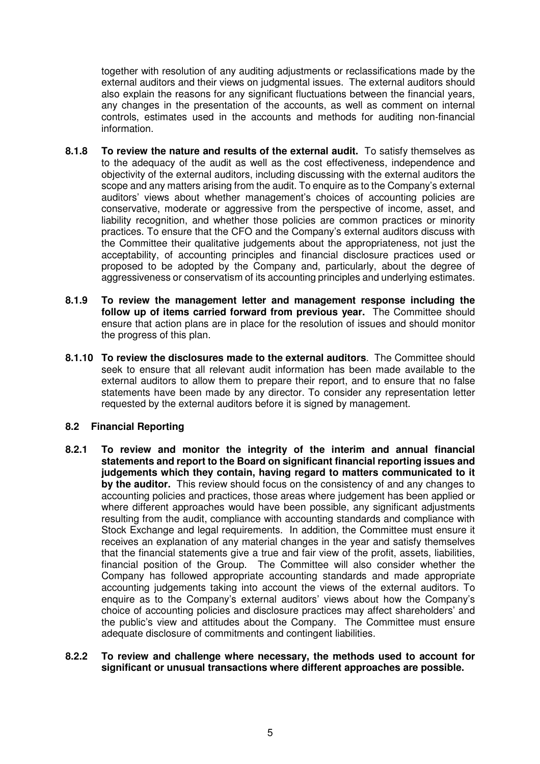together with resolution of any auditing adjustments or reclassifications made by the external auditors and their views on judgmental issues. The external auditors should also explain the reasons for any significant fluctuations between the financial years, any changes in the presentation of the accounts, as well as comment on internal controls, estimates used in the accounts and methods for auditing non-financial information.

- **8.1.8 To review the nature and results of the external audit.** To satisfy themselves as to the adequacy of the audit as well as the cost effectiveness, independence and objectivity of the external auditors, including discussing with the external auditors the scope and any matters arising from the audit. To enquire as to the Company's external auditors' views about whether management's choices of accounting policies are conservative, moderate or aggressive from the perspective of income, asset, and liability recognition, and whether those policies are common practices or minority practices. To ensure that the CFO and the Company's external auditors discuss with the Committee their qualitative judgements about the appropriateness, not just the acceptability, of accounting principles and financial disclosure practices used or proposed to be adopted by the Company and, particularly, about the degree of aggressiveness or conservatism of its accounting principles and underlying estimates.
- **8.1.9 To review the management letter and management response including the follow up of items carried forward from previous year.** The Committee should ensure that action plans are in place for the resolution of issues and should monitor the progress of this plan.
- **8.1.10 To review the disclosures made to the external auditors**. The Committee should seek to ensure that all relevant audit information has been made available to the external auditors to allow them to prepare their report, and to ensure that no false statements have been made by any director. To consider any representation letter requested by the external auditors before it is signed by management.

### **8.2 Financial Reporting**

**8.2.1 To review and monitor the integrity of the interim and annual financial statements and report to the Board on significant financial reporting issues and judgements which they contain, having regard to matters communicated to it by the auditor.** This review should focus on the consistency of and any changes to accounting policies and practices, those areas where judgement has been applied or where different approaches would have been possible, any significant adjustments resulting from the audit, compliance with accounting standards and compliance with Stock Exchange and legal requirements. In addition, the Committee must ensure it receives an explanation of any material changes in the year and satisfy themselves that the financial statements give a true and fair view of the profit, assets, liabilities, financial position of the Group. The Committee will also consider whether the Company has followed appropriate accounting standards and made appropriate accounting judgements taking into account the views of the external auditors. To enquire as to the Company's external auditors' views about how the Company's choice of accounting policies and disclosure practices may affect shareholders' and the public's view and attitudes about the Company. The Committee must ensure adequate disclosure of commitments and contingent liabilities.

#### **8.2.2 To review and challenge where necessary, the methods used to account for significant or unusual transactions where different approaches are possible.**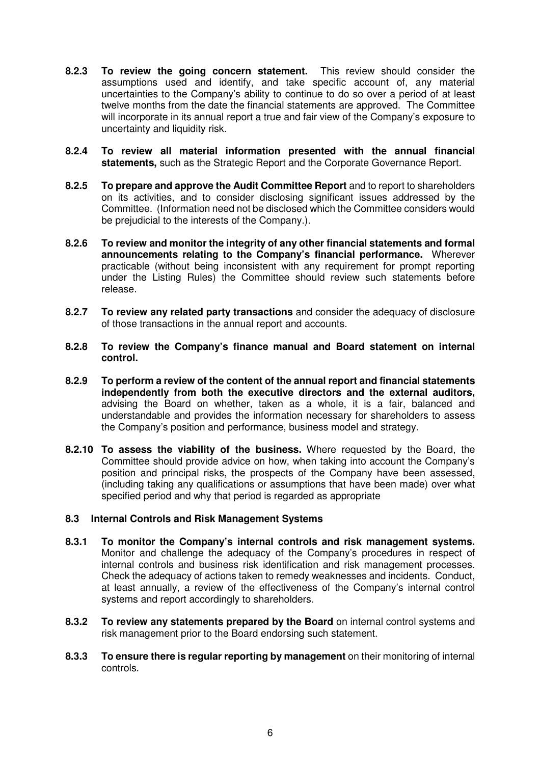- **8.2.3 To review the going concern statement.** This review should consider the assumptions used and identify, and take specific account of, any material uncertainties to the Company's ability to continue to do so over a period of at least twelve months from the date the financial statements are approved. The Committee will incorporate in its annual report a true and fair view of the Company's exposure to uncertainty and liquidity risk.
- **8.2.4 To review all material information presented with the annual financial statements,** such as the Strategic Report and the Corporate Governance Report.
- **8.2.5 To prepare and approve the Audit Committee Report** and to report to shareholders on its activities, and to consider disclosing significant issues addressed by the Committee. (Information need not be disclosed which the Committee considers would be prejudicial to the interests of the Company.).
- **8.2.6 To review and monitor the integrity of any other financial statements and formal announcements relating to the Company's financial performance.** Wherever practicable (without being inconsistent with any requirement for prompt reporting under the Listing Rules) the Committee should review such statements before release.
- **8.2.7 To review any related party transactions** and consider the adequacy of disclosure of those transactions in the annual report and accounts.
- **8.2.8 To review the Company's finance manual and Board statement on internal control.**
- **8.2.9 To perform a review of the content of the annual report and financial statements independently from both the executive directors and the external auditors,**  advising the Board on whether, taken as a whole, it is a fair, balanced and understandable and provides the information necessary for shareholders to assess the Company's position and performance, business model and strategy.
- **8.2.10 To assess the viability of the business.** Where requested by the Board, the Committee should provide advice on how, when taking into account the Company's position and principal risks, the prospects of the Company have been assessed, (including taking any qualifications or assumptions that have been made) over what specified period and why that period is regarded as appropriate

### **8.3 Internal Controls and Risk Management Systems**

- **8.3.1 To monitor the Company's internal controls and risk management systems.**  Monitor and challenge the adequacy of the Company's procedures in respect of internal controls and business risk identification and risk management processes. Check the adequacy of actions taken to remedy weaknesses and incidents. Conduct, at least annually, a review of the effectiveness of the Company's internal control systems and report accordingly to shareholders.
- **8.3.2 To review any statements prepared by the Board** on internal control systems and risk management prior to the Board endorsing such statement.
- **8.3.3 To ensure there is regular reporting by management** on their monitoring of internal controls.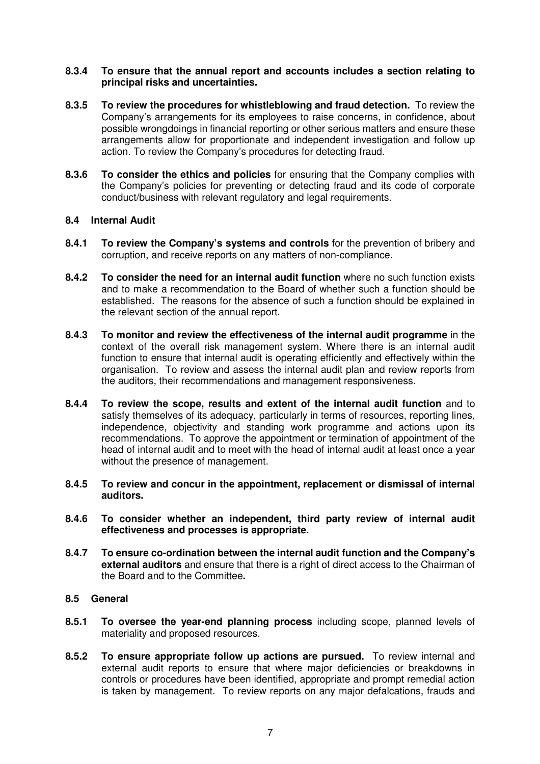#### **8.3.4 To ensure that the annual report and accounts includes a section relating to principal risks and uncertainties.**

- **8.3.5 To review the procedures for whistleblowing and fraud detection.** To review the Company's arrangements for its employees to raise concerns, in confidence, about possible wrongdoings in financial reporting or other serious matters and ensure these arrangements allow for proportionate and independent investigation and follow up action. To review the Company's procedures for detecting fraud.
- **8.3.6 To consider the ethics and policies** for ensuring that the Company complies with the Company's policies for preventing or detecting fraud and its code of corporate conduct/business with relevant regulatory and legal requirements.

### **8.4 Internal Audit**

- **8.4.1 To review the Company's systems and controls** for the prevention of bribery and corruption, and receive reports on any matters of non-compliance.
- **8.4.2 To consider the need for an internal audit function** where no such function exists and to make a recommendation to the Board of whether such a function should be established. The reasons for the absence of such a function should be explained in the relevant section of the annual report.
- **8.4.3 To monitor and review the effectiveness of the internal audit programme** in the context of the overall risk management system. Where there is an internal audit function to ensure that internal audit is operating efficiently and effectively within the organisation. To review and assess the internal audit plan and review reports from the auditors, their recommendations and management responsiveness.
- **8.4.4 To review the scope, results and extent of the internal audit function** and to satisfy themselves of its adequacy, particularly in terms of resources, reporting lines, independence, objectivity and standing work programme and actions upon its recommendations. To approve the appointment or termination of appointment of the head of internal audit and to meet with the head of internal audit at least once a year without the presence of management.
- **8.4.5 To review and concur in the appointment, replacement or dismissal of internal auditors.**
- **8.4.6 To consider whether an independent, third party review of internal audit effectiveness and processes is appropriate.**
- **8.4.7 To ensure co-ordination between the internal audit function and the Company's external auditors** and ensure that there is a right of direct access to the Chairman of the Board and to the Committee**.**

### **8.5 General**

- **8.5.1 To oversee the year-end planning process** including scope, planned levels of materiality and proposed resources.
- **8.5.2 To ensure appropriate follow up actions are pursued.** To review internal and external audit reports to ensure that where major deficiencies or breakdowns in controls or procedures have been identified, appropriate and prompt remedial action is taken by management. To review reports on any major defalcations, frauds and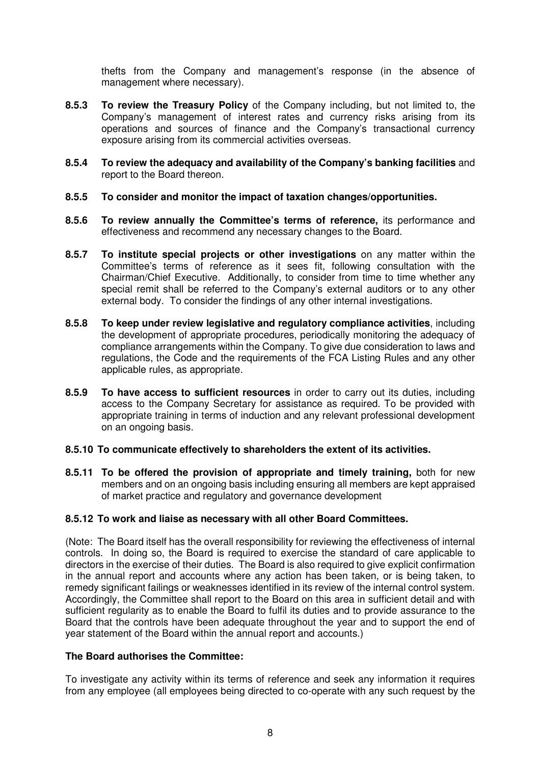thefts from the Company and management's response (in the absence of management where necessary).

- **8.5.3 To review the Treasury Policy** of the Company including, but not limited to, the Company's management of interest rates and currency risks arising from its operations and sources of finance and the Company's transactional currency exposure arising from its commercial activities overseas.
- **8.5.4 To review the adequacy and availability of the Company's banking facilities** and report to the Board thereon.
- **8.5.5 To consider and monitor the impact of taxation changes/opportunities.**
- **8.5.6 To review annually the Committee's terms of reference,** its performance and effectiveness and recommend any necessary changes to the Board.
- **8.5.7 To institute special projects or other investigations** on any matter within the Committee's terms of reference as it sees fit, following consultation with the Chairman/Chief Executive. Additionally, to consider from time to time whether any special remit shall be referred to the Company's external auditors or to any other external body. To consider the findings of any other internal investigations.
- **8.5.8 To keep under review legislative and regulatory compliance activities**, including the development of appropriate procedures, periodically monitoring the adequacy of compliance arrangements within the Company. To give due consideration to laws and regulations, the Code and the requirements of the FCA Listing Rules and any other applicable rules, as appropriate.
- **8.5.9 To have access to sufficient resources** in order to carry out its duties, including access to the Company Secretary for assistance as required. To be provided with appropriate training in terms of induction and any relevant professional development on an ongoing basis.

#### **8.5.10 To communicate effectively to shareholders the extent of its activities.**

**8.5.11 To be offered the provision of appropriate and timely training,** both for new members and on an ongoing basis including ensuring all members are kept appraised of market practice and regulatory and governance development

### **8.5.12 To work and liaise as necessary with all other Board Committees.**

(Note: The Board itself has the overall responsibility for reviewing the effectiveness of internal controls. In doing so, the Board is required to exercise the standard of care applicable to directors in the exercise of their duties. The Board is also required to give explicit confirmation in the annual report and accounts where any action has been taken, or is being taken, to remedy significant failings or weaknesses identified in its review of the internal control system. Accordingly, the Committee shall report to the Board on this area in sufficient detail and with sufficient regularity as to enable the Board to fulfil its duties and to provide assurance to the Board that the controls have been adequate throughout the year and to support the end of year statement of the Board within the annual report and accounts.)

#### **The Board authorises the Committee:**

To investigate any activity within its terms of reference and seek any information it requires from any employee (all employees being directed to co-operate with any such request by the